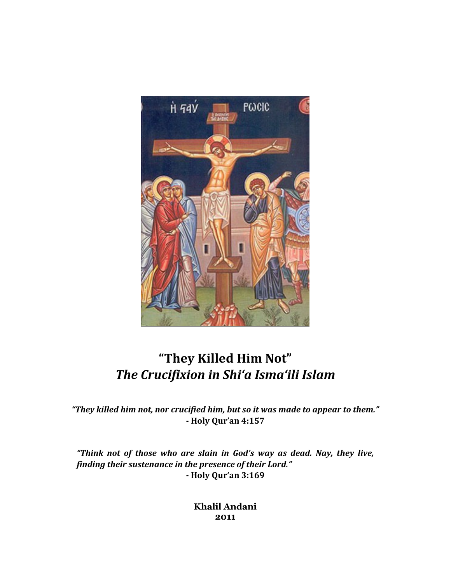

# "They Killed Him Not" The Crucifixion in Shi'a Isma'ili Islam

"They killed him not, nor crucified him, but so it was made to appear to them." - Holy Qur'an 4:157

"Think not of those who are slain in God's way as dead. Nay, they live, finding their sustenance in the presence of their Lord." - Holy Qur'an 3:169

> Khalil Andani 2011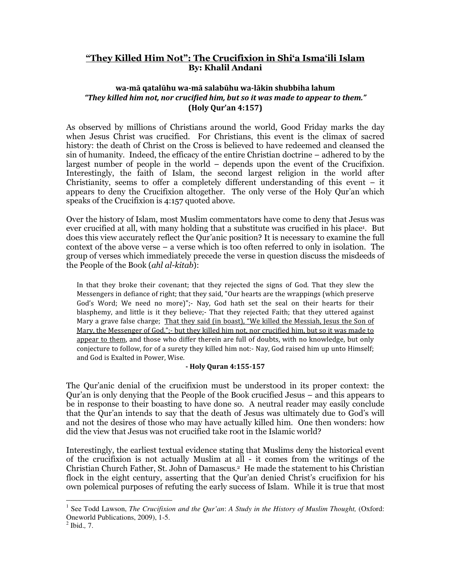## "They Killed Him Not": The Crucifixion in Shi'a Isma'ili Islam By: Khalil Andani

## wa-mā qatalūhu wa-mā salabūhu wa-lākin shubbiha lahum "They killed him not, nor crucified him, but so it was made to appear to them." (Holy Qur'an 4:157)

As observed by millions of Christians around the world, Good Friday marks the day when Jesus Christ was crucified. For Christians, this event is the climax of sacred history: the death of Christ on the Cross is believed to have redeemed and cleansed the sin of humanity. Indeed, the efficacy of the entire Christian doctrine – adhered to by the largest number of people in the world – depends upon the event of the Crucifixion. Interestingly, the faith of Islam, the second largest religion in the world after Christianity, seems to offer a completely different understanding of this event – it appears to deny the Crucifixion altogether. The only verse of the Holy Qur'an which speaks of the Crucifixion is 4:157 quoted above.

Over the history of Islam, most Muslim commentators have come to deny that Jesus was ever crucified at all, with many holding that a substitute was crucified in his place<sup>1</sup>. But does this view accurately reflect the Qur'anic position? It is necessary to examine the full context of the above verse – a verse which is too often referred to only in isolation. The group of verses which immediately precede the verse in question discuss the misdeeds of the People of the Book (ahl al-kitab):

In that they broke their covenant; that they rejected the signs of God. That they slew the Messengers in defiance of right; that they said, "Our hearts are the wrappings (which preserve God's Word; We need no more)";- Nay, God hath set the seal on their hearts for their blasphemy, and little is it they believe;- That they rejected Faith; that they uttered against Mary a grave false charge; That they said (in boast), "We killed the Messiah, Jesus the Son of Mary, the Messenger of God.";- but they killed him not, nor crucified him, but so it was made to appear to them, and those who differ therein are full of doubts, with no knowledge, but only conjecture to follow, for of a surety they killed him not:- Nay, God raised him up unto Himself; and God is Exalted in Power, Wise.

#### - Holy Quran 4:155-157

The Qur'anic denial of the crucifixion must be understood in its proper context: the Qur'an is only denying that the People of the Book crucified Jesus – and this appears to be in response to their boasting to have done so. A neutral reader may easily conclude that the Qur'an intends to say that the death of Jesus was ultimately due to God's will and not the desires of those who may have actually killed him. One then wonders: how did the view that Jesus was not crucified take root in the Islamic world?

Interestingly, the earliest textual evidence stating that Muslims deny the historical event of the crucifixion is not actually Muslim at all - it comes from the writings of the Christian Church Father, St. John of Damascus.<sup>2</sup> He made the statement to his Christian flock in the eight century, asserting that the Qur'an denied Christ's crucifixion for his own polemical purposes of refuting the early success of Islam. While it is true that most

<sup>&</sup>lt;sup>1</sup> See Todd Lawson, *The Crucifixion and the Qur'an*: *A Study in the History of Muslim Thought*, (Oxford: Oneworld Publications, 2009), 1-5.

<sup>2</sup> Ibid.*,* 7.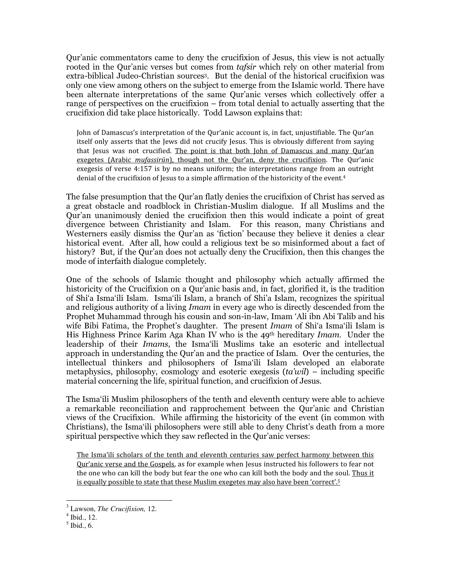Qur'anic commentators came to deny the crucifixion of Jesus, this view is not actually rooted in the Qur'anic verses but comes from *tafsir* which rely on other material from extra-biblical Judeo-Christian sources<sup>3</sup>. But the denial of the historical crucifixion was only one view among others on the subject to emerge from the Islamic world. There have been alternate interpretations of the same Qur'anic verses which collectively offer a range of perspectives on the crucifixion – from total denial to actually asserting that the crucifixion did take place historically. Todd Lawson explains that:

John of Damascus's interpretation of the Qur'anic account is, in fact, unjustifiable. The Qur'an itself only asserts that the Jews did not crucify Jesus. This is obviously different from saying that Jesus was not crucified. The point is that both John of Damascus and many Qur'an exegetes (Arabic mufassirūn), though not the Qur'an, deny the crucifixion. The Qur'anic exegesis of verse 4:157 is by no means uniform; the interpretations range from an outright denial of the crucifixion of Jesus to a simple affirmation of the historicity of the event.<sup>4</sup>

The false presumption that the Qur'an flatly denies the crucifixion of Christ has served as a great obstacle and roadblock in Christian-Muslim dialogue. If all Muslims and the Qur'an unanimously denied the crucifixion then this would indicate a point of great divergence between Christianity and Islam. For this reason, many Christians and Westerners easily dismiss the Qur'an as 'fiction' because they believe it denies a clear historical event. After all, how could a religious text be so misinformed about a fact of history? But, if the Qur'an does not actually deny the Crucifixion, then this changes the mode of interfaith dialogue completely.

One of the schools of Islamic thought and philosophy which actually affirmed the historicity of the Crucifixion on a Qur'anic basis and, in fact, glorified it, is the tradition of Shi'a Isma'ili Islam. Isma'ili Islam, a branch of Shi'a Islam, recognizes the spiritual and religious authority of a living *Imam* in every age who is directly descended from the Prophet Muhammad through his cousin and son-in-law, Imam 'Ali ibn Abi Talib and his wife Bibi Fatima, the Prophet's daughter. The present Imam of Shi'a Isma'ili Islam is His Highness Prince Karim Aga Khan IV who is the 49<sup>th</sup> hereditary *Imam*. Under the leadership of their Imams, the Isma'ili Muslims take an esoteric and intellectual approach in understanding the Qur'an and the practice of Islam. Over the centuries, the intellectual thinkers and philosophers of Isma'ili Islam developed an elaborate metaphysics, philosophy, cosmology and esoteric exegesis  $(ta'wil)$  – including specific material concerning the life, spiritual function, and crucifixion of Jesus.

The Isma'ili Muslim philosophers of the tenth and eleventh century were able to achieve a remarkable reconciliation and rapprochement between the Qur'anic and Christian views of the Crucifixion. While affirming the historicity of the event (in common with Christians), the Isma'ili philosophers were still able to deny Christ's death from a more spiritual perspective which they saw reflected in the Qur'anic verses:

The Isma'ili scholars of the tenth and eleventh centuries saw perfect harmony between this Qur'anic verse and the Gospels, as for example when Jesus instructed his followers to fear not the one who can kill the body but fear the one who can kill both the body and the soul. Thus it is equally possible to state that these Muslim exegetes may also have been 'correct'.<sup>5</sup>

<sup>3</sup> Lawson, *The Crucifixion,* 12.

<sup>4</sup> Ibid., 12.

<sup>5</sup> Ibid., 6.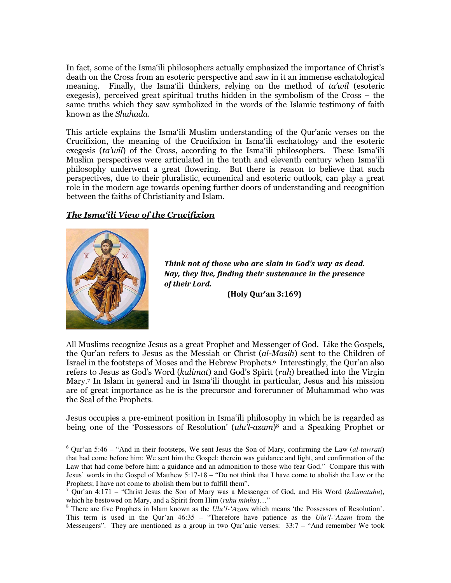In fact, some of the Isma'ili philosophers actually emphasized the importance of Christ's death on the Cross from an esoteric perspective and saw in it an immense eschatological meaning. Finally, the Isma'ili thinkers, relying on the method of ta'wil (esoteric exegesis), perceived great spiritual truths hidden in the symbolism of the Cross – the same truths which they saw symbolized in the words of the Islamic testimony of faith known as the Shahada.

This article explains the Isma'ili Muslim understanding of the Qur'anic verses on the Crucifixion, the meaning of the Crucifixion in Isma'ili eschatology and the esoteric exegesis (ta'wil) of the Cross, according to the Isma'ili philosophers. These Isma'ili Muslim perspectives were articulated in the tenth and eleventh century when Isma'ili philosophy underwent a great flowering. But there is reason to believe that such perspectives, due to their pluralistic, ecumenical and esoteric outlook, can play a great role in the modern age towards opening further doors of understanding and recognition between the faiths of Christianity and Islam.

## The Isma'ili View of the Crucifixion



-

Think not of those who are slain in God's way as dead. Nay, they live, finding their sustenance in the presence of their Lord.

(Holy Qur'an 3:169)

All Muslims recognize Jesus as a great Prophet and Messenger of God. Like the Gospels, the Our'an refers to Jesus as the Messiah or Christ (al-Masih) sent to the Children of Israel in the footsteps of Moses and the Hebrew Prophets. 6 Interestingly, the Qur'an also refers to Jesus as God's Word (kalimat) and God's Spirit (ruh) breathed into the Virgin Mary.<sup>7</sup> In Islam in general and in Isma'ili thought in particular, Jesus and his mission are of great importance as he is the precursor and forerunner of Muhammad who was the Seal of the Prophets.

Jesus occupies a pre-eminent position in Isma'ili philosophy in which he is regarded as being one of the 'Possessors of Resolution' (*ulu'l-azam*)<sup>8</sup> and a Speaking Prophet or

<sup>6</sup> Qur'an 5:46 – "And in their footsteps, We sent Jesus the Son of Mary, confirming the Law (*al-tawrati*) that had come before him: We sent him the Gospel: therein was guidance and light, and confirmation of the Law that had come before him: a guidance and an admonition to those who fear God." Compare this with Jesus' words in the Gospel of Matthew 5:17-18 – "Do not think that I have come to abolish the Law or the Prophets; I have not come to abolish them but to fulfill them".

<sup>7</sup> Qur'an 4:171 – "Christ Jesus the Son of Mary was a Messenger of God, and His Word (*kalimatuhu*), which he bestowed on Mary, and a Spirit from Him (*ruhu minhu*)…"

<sup>&</sup>lt;sup>8</sup> There are five Prophets in Islam known as the *Ulu'l-'Azam* which means 'the Possessors of Resolution'. This term is used in the Qur'an 46:35 – "Therefore have patience as the *Ulu'l-'Azam* from the Messengers". They are mentioned as a group in two Qur'anic verses: 33:7 – "And remember We took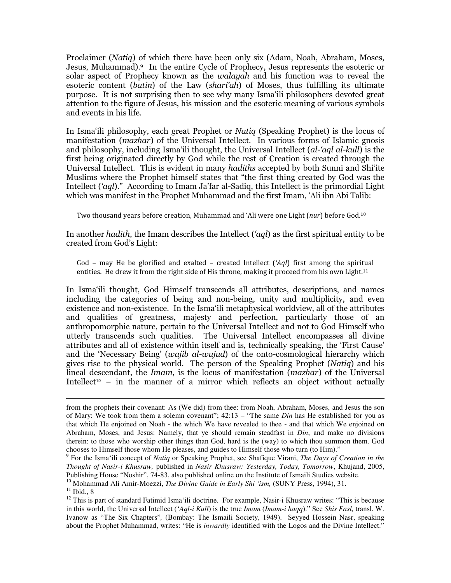Proclaimer (Natiq) of which there have been only six (Adam, Noah, Abraham, Moses, Jesus, Muhammad).<sup>9</sup> In the entire Cycle of Prophecy, Jesus represents the esoteric or solar aspect of Prophecy known as the walayah and his function was to reveal the esoteric content (batin) of the Law (shari'ah) of Moses, thus fulfilling its ultimate purpose. It is not surprising then to see why many Isma'ili philosophers devoted great attention to the figure of Jesus, his mission and the esoteric meaning of various symbols and events in his life.

In Isma'ili philosophy, each great Prophet or Natiq (Speaking Prophet) is the locus of manifestation (mazhar) of the Universal Intellect. In various forms of Islamic gnosis and philosophy, including Isma'ili thought, the Universal Intellect (al-'aql al-kull) is the first being originated directly by God while the rest of Creation is created through the Universal Intellect. This is evident in many hadiths accepted by both Sunni and Shi'ite Muslims where the Prophet himself states that "the first thing created by God was the Intellect ('aql)." According to Imam Ja'far al-Sadiq, this Intellect is the primordial Light which was manifest in the Prophet Muhammad and the first Imam, 'Ali ibn Abi Talib:

Two thousand years before creation, Muhammad and 'Ali were one Light (nur) before God.<sup>10</sup>

In another hadith, the Imam describes the Intellect  $(\text{`aq}$ ) as the first spiritual entity to be created from God's Light:

God – may He be glorified and exalted – created Intellect  $(AqI)$  first among the spiritual entities. He drew it from the right side of His throne, making it proceed from his own Light.<sup>11</sup>

In Isma'ili thought, God Himself transcends all attributes, descriptions, and names including the categories of being and non-being, unity and multiplicity, and even existence and non-existence. In the Isma'ili metaphysical worldview, all of the attributes and qualities of greatness, majesty and perfection, particularly those of an anthropomorphic nature, pertain to the Universal Intellect and not to God Himself who utterly transcends such qualities. The Universal Intellect encompasses all divine attributes and all of existence within itself and is, technically speaking, the 'First Cause' and the 'Necessary Being' (wajib al-wujud) of the onto-cosmological hierarchy which gives rise to the physical world. The person of the Speaking Prophet (Natiq) and his lineal descendant, the *Imam*, is the locus of manifestation (*mazhar*) of the Universal Intellect<sup>12</sup> – in the manner of a mirror which reflects an object without actually

from the prophets their covenant: As (We did) from thee: from Noah, Abraham, Moses, and Jesus the son of Mary: We took from them a solemn covenant"; 42:13 – "The same *Din* has He established for you as that which He enjoined on Noah - the which We have revealed to thee - and that which We enjoined on Abraham, Moses, and Jesus: Namely, that ye should remain steadfast in *Din*, and make no divisions therein: to those who worship other things than God, hard is the (way) to which thou summon them. God chooses to Himself those whom He pleases, and guides to Himself those who turn (to Him)."

<sup>9</sup> For the Isma'ili concept of *Natiq* or Speaking Prophet, see Shafique Virani, *The Days of Creation in the Thought of Nasir-i Khusraw,* published in *Nasir Khusraw: Yesterday, Today, Tomorrow*, Khujand, 2005, Publishing House "Noshir", 74-83, also published online on the Institute of Ismaili Studies website.

<sup>&</sup>lt;sup>10</sup> Mohammad Ali Amir-Moezzi, *The Divine Guide in Early Shi 'ism*, (SUNY Press, 1994), 31.

 $11$  Ibid., 8

<sup>&</sup>lt;sup>12</sup> This is part of standard Fatimid Isma'ili doctrine. For example, Nasir-i Khusraw writes: "This is because in this world, the Universal Intellect (*'Aql-i Kull*) is the true *Imam* (*Imam-i haqq*)." See *Shis Fasl,* transl. W. Ivanow as "The Six Chapters"*,* (Bombay: The Ismaili Society, 1949). Seyyed Hossein Nasr, speaking about the Prophet Muhammad, writes: "He is *inwardly* identified with the Logos and the Divine Intellect."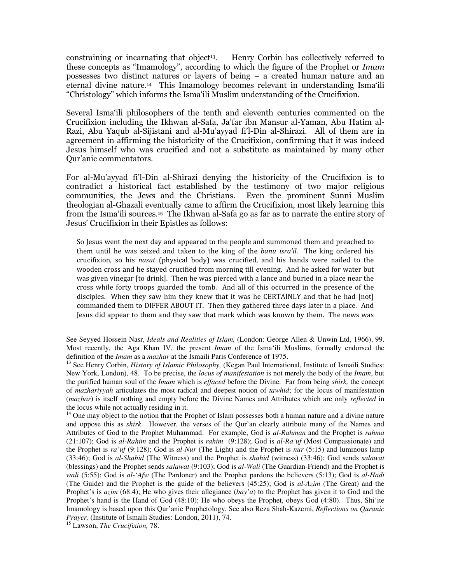constraining or incarnating that object<sup>13</sup>. Henry Corbin has collectively referred to these concepts as "Imamology", according to which the figure of the Prophet or Imam possesses two distinct natures or layers of being – a created human nature and an eternal divine nature.<sup>14</sup> This Imamology becomes relevant in understanding Isma'ili "Christology" which informs the Isma'ili Muslim understanding of the Crucifixion.

Several Isma'ili philosophers of the tenth and eleventh centuries commented on the Crucifixion including the Ikhwan al-Safa, Ja'far ibn Mansur al-Yaman, Abu Hatim al-Razi, Abu Yaqub al-Sijistani and al-Mu'ayyad fi'l-Din al-Shirazi. All of them are in agreement in affirming the historicity of the Crucifixion, confirming that it was indeed Jesus himself who was crucified and not a substitute as maintained by many other Qur'anic commentators.

For al-Mu'ayyad fi'l-Din al-Shirazi denying the historicity of the Crucifixion is to contradict a historical fact established by the testimony of two major religious communities, the Jews and the Christians. Even the prominent Sunni Muslim theologian al-Ghazali eventually came to affirm the Crucifixion, most likely learning this from the Isma'ili sources.<sup>15</sup> The Ikhwan al-Safa go as far as to narrate the entire story of Jesus' Crucifixion in their Epistles as follows:

So Jesus went the next day and appeared to the people and summoned them and preached to them until he was seized and taken to the king of the banu isra'il. The king ordered his crucifixion, so his nasut (physical body) was crucified, and his hands were nailed to the wooden cross and he stayed crucified from morning till evening. And he asked for water but was given vinegar [to drink]. Then he was pierced with a lance and buried in a place near the cross while forty troops guarded the tomb. And all of this occurred in the presence of the disciples. When they saw him they knew that it was he CERTAINLY and that he had [not] commanded them to DIFFER ABOUT IT. Then they gathered three days later in a place. And Jesus did appear to them and they saw that mark which was known by them. The news was

 $14$  One may object to the notion that the Prophet of Islam possesses both a human nature and a divine nature and oppose this as *shirk*. However, the verses of the Qur'an clearly attribute many of the Names and Attributes of God to the Prophet Muhammad. For example, God is *al-Rahman* and the Prophet is *rahma* (21:107); God is *al-Rahim* and the Prophet is *rahim* (9:128); God is *al-Ra'uf* (Most Compassionate) and the Prophet is *ra'uf* (9:128); God is *al-Nur* (The Light) and the Prophet is *nur* (5:15) and luminous lamp (33:46); God is *al-Shahid* (The Witness) and the Prophet is *shahid* (witness) (33:46); God sends *salawat*  (blessings) and the Prophet sends *salawat* (9:103); God is *al-Wali* (The Guardian-Friend) and the Prophet is *wali* (5:55); God is *al-'Afw* (The Pardoner) and the Prophet pardons the believers (5:13); God is *al-Hadi* (The Guide) and the Prophet is the guide of the believers (45:25); God is *al-Azim* (The Great) and the Prophet's is *azim* (68:4); He who gives their allegiance (*bay'a*) to the Prophet has given it to God and the Prophet's hand is the Hand of God (48:10); He who obeys the Prophet, obeys God (4:80). Thus, Shi'ite Imamology is based upon this Qur'anic Prophetology. See also Reza Shah-Kazemi, *Reflections on Quranic Prayer,* (Institute of Ismaili Studies: London, 2011), 74.

<sup>15</sup> Lawson, *The Crucifixion,* 78.

See Seyyed Hossein Nasr, *Ideals and Realities of Islam,* (London: George Allen & Unwin Ltd, 1966), 99. Most recently, the Aga Khan IV, the present *Imam* of the Isma'ili Muslims, formally endorsed the definition of the *Imam* as a *mazhar* at the Ismaili Paris Conference of 1975.

<sup>&</sup>lt;sup>13</sup> See Henry Corbin, *History of Islamic Philosophy*, (Kegan Paul International, Institute of Ismaili Studies: New York, London), 48. To be precise, the *locus of manifestation* is not merely the body of the *Imam*, but the purified human soul of the *Imam* which is *effaced* before the Divine. Far from being *shirk,* the concept of *mazhariyyah* articulates the most radical and deepest notion of *tawhid*; for the locus of manifestation (*mazhar*) is itself nothing and empty before the Divine Names and Attributes which are only *reflected* in the locus while not actually residing in it.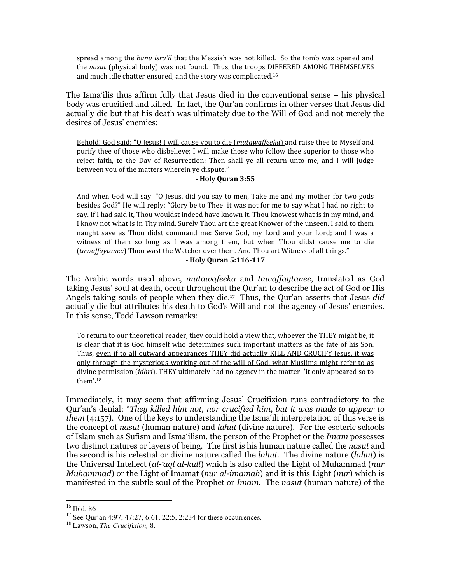spread among the banu isra'il that the Messiah was not killed. So the tomb was opened and the nasut (physical body) was not found. Thus, the troops DIFFERED AMONG THEMSELVES and much idle chatter ensured, and the story was complicated.<sup>16</sup>

The Isma'ilis thus affirm fully that Jesus died in the conventional sense – his physical body was crucified and killed. In fact, the Qur'an confirms in other verses that Jesus did actually die but that his death was ultimately due to the Will of God and not merely the desires of Jesus' enemies:

Behold! God said: "O Jesus! I will cause you to die (mutawaffeeka) and raise thee to Myself and purify thee of those who disbelieve; I will make those who follow thee superior to those who reject faith, to the Day of Resurrection: Then shall ye all return unto me, and I will judge between you of the matters wherein ye dispute."

#### - Holy Quran 3:55

And when God will say: "O Jesus, did you say to men, Take me and my mother for two gods besides God?" He will reply: "Glory be to Thee! it was not for me to say what I had no right to say. If I had said it, Thou wouldst indeed have known it. Thou knowest what is in my mind, and I know not what is in Thy mind. Surely Thou art the great Knower of the unseen. I said to them naught save as Thou didst command me: Serve God, my Lord and your Lord; and I was a witness of them so long as I was among them, but when Thou didst cause me to die (tawaffaytanee) Thou wast the Watcher over them. And Thou art Witness of all things."

- Holy Quran 5:116-117

The Arabic words used above, mutawafeeka and tawaffaytanee, translated as God taking Jesus' soul at death, occur throughout the Qur'an to describe the act of God or His Angels taking souls of people when they die.<sup>17</sup> Thus, the Qur'an asserts that Jesus did actually die but attributes his death to God's Will and not the agency of Jesus' enemies. In this sense, Todd Lawson remarks:

To return to our theoretical reader, they could hold a view that, whoever the THEY might be, it is clear that it is God himself who determines such important matters as the fate of his Son. Thus, even if to all outward appearances THEY did actually KILL AND CRUCIFY Jesus, it was only through the mysterious working out of the will of God, what Muslims might refer to as divine permission *(idhri)*. THEY ultimately had no agency in the matter: 'it only appeared so to them'.<sup>18</sup>

Immediately, it may seem that affirming Jesus' Crucifixion runs contradictory to the Qur'an's denial: "They killed him not, nor crucified him, but it was made to appear to them (4:157). One of the keys to understanding the Isma'ili interpretation of this verse is the concept of nasut (human nature) and lahut (divine nature). For the esoteric schools of Islam such as Sufism and Isma'ilism, the person of the Prophet or the *Imam* possesses two distinct natures or layers of being. The first is his human nature called the nasut and the second is his celestial or divine nature called the *lahut*. The divine nature (*lahut*) is the Universal Intellect *(al-'agl al-kull)* which is also called the Light of Muhammad *(nur*) *Muhammad*) or the Light of Imamat (*nur al-imamah*) and it is this Light (*nur*) which is manifested in the subtle soul of the Prophet or Imam. The nasut (human nature) of the

<sup>16</sup> Ibid. 86

 $17$  See Our'an 4:97, 47:27, 6:61, 22:5, 2:234 for these occurrences.

<sup>18</sup> Lawson, *The Crucifixion,* 8.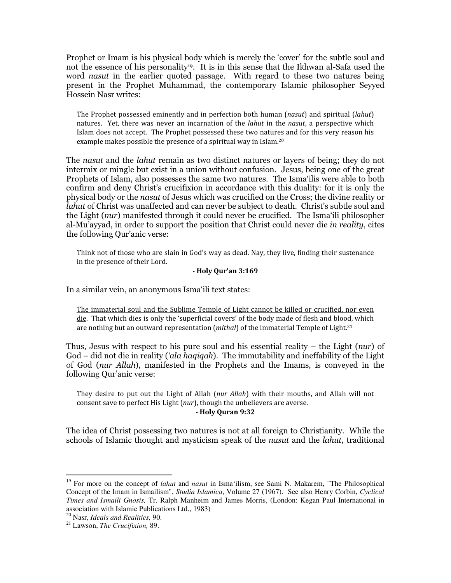Prophet or Imam is his physical body which is merely the 'cover' for the subtle soul and not the essence of his personality<sup>19</sup>. It is in this sense that the Ikhwan al-Safa used the word *nasut* in the earlier quoted passage. With regard to these two natures being present in the Prophet Muhammad, the contemporary Islamic philosopher Seyyed Hossein Nasr writes:

The Prophet possessed eminently and in perfection both human (nasut) and spiritual (lahut) natures. Yet, there was never an incarnation of the *lahut* in the *nasut*, a perspective which Islam does not accept. The Prophet possessed these two natures and for this very reason his example makes possible the presence of a spiritual way in Islam.<sup>20</sup>

The *nasut* and the *lahut* remain as two distinct natures or layers of being; they do not intermix or mingle but exist in a union without confusion. Jesus, being one of the great Prophets of Islam, also possesses the same two natures. The Isma'ilis were able to both confirm and deny Christ's crucifixion in accordance with this duality: for it is only the physical body or the nasut of Jesus which was crucified on the Cross; the divine reality or lahut of Christ was unaffected and can never be subject to death. Christ's subtle soul and the Light (nur) manifested through it could never be crucified. The Isma'ili philosopher al-Mu'ayyad, in order to support the position that Christ could never die *in reality*, cites the following Qur'anic verse:

Think not of those who are slain in God's way as dead. Nay, they live, finding their sustenance in the presence of their Lord.

#### - Holy Qur'an 3:169

In a similar vein, an anonymous Isma'ili text states:

The immaterial soul and the Sublime Temple of Light cannot be killed or crucified, nor even die. That which dies is only the 'superficial covers' of the body made of flesh and blood, which are nothing but an outward representation (*mithal*) of the immaterial Temple of Light.<sup>21</sup>

Thus, Jesus with respect to his pure soul and his essential reality – the Light ( $nur$ ) of God – did not die in reality (*'ala haqiqah*). The immutability and ineffability of the Light of God (nur Allah), manifested in the Prophets and the Imams, is conveyed in the following Qur'anic verse:

They desire to put out the Light of Allah (nur Allah) with their mouths, and Allah will not consent save to perfect His Light (nur), though the unbelievers are averse. - Holy Quran 9:32

The idea of Christ possessing two natures is not at all foreign to Christianity. While the schools of Islamic thought and mysticism speak of the nasut and the lahut, traditional

<sup>&</sup>lt;sup>19</sup> For more on the concept of *lahut* and *nasut* in Isma'ilism, see Sami N. Makarem, "The Philosophical Concept of the Imam in Ismailism", *Studia Islamica*, Volume 27 (1967). See also Henry Corbin, *Cyclical Times and Ismaili Gnosis,* Tr. Ralph Manheim and James Morris, (London: Kegan Paul International in association with Islamic Publications Ltd., 1983)

<sup>20</sup> Nasr, *Ideals and Realities,* 90.

<sup>21</sup> Lawson, *The Crucifixion,* 89.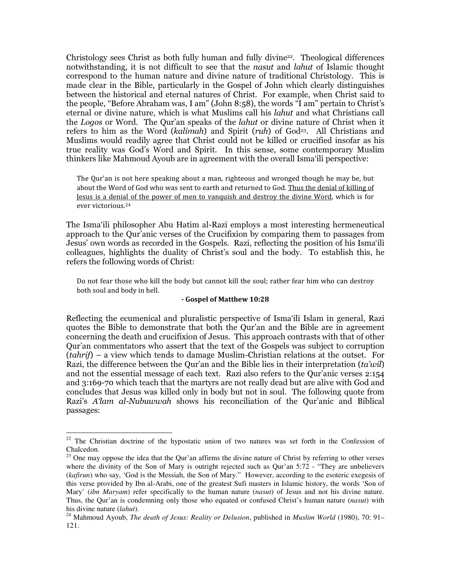Christology sees Christ as both fully human and fully divine<sup>22</sup>. Theological differences notwithstanding, it is not difficult to see that the nasut and lahut of Islamic thought correspond to the human nature and divine nature of traditional Christology. This is made clear in the Bible, particularly in the Gospel of John which clearly distinguishes between the historical and eternal natures of Christ. For example, when Christ said to the people, "Before Abraham was, I am" (John 8:58), the words "I am" pertain to Christ's eternal or divine nature, which is what Muslims call his lahut and what Christians call the Logos or Word. The Qur'an speaks of the lahut or divine nature of Christ when it refers to him as the Word (kalimah) and Spirit (ruh) of God<sup>23</sup>. All Christians and Muslims would readily agree that Christ could not be killed or crucified insofar as his true reality was God's Word and Spirit. In this sense, some contemporary Muslim thinkers like Mahmoud Ayoub are in agreement with the overall Isma'ili perspective:

The Qur'an is not here speaking about a man, righteous and wronged though he may be, but about the Word of God who was sent to earth and returned to God. Thus the denial of killing of Jesus is a denial of the power of men to vanquish and destroy the divine Word, which is for ever victorious.<sup>24</sup>

The Isma'ili philosopher Abu Hatim al-Razi employs a most interesting hermeneutical approach to the Qur'anic verses of the Crucifixion by comparing them to passages from Jesus' own words as recorded in the Gospels. Razi, reflecting the position of his Isma'ili colleagues, highlights the duality of Christ's soul and the body. To establish this, he refers the following words of Christ:

Do not fear those who kill the body but cannot kill the soul; rather fear him who can destroy both soul and body in hell.

#### - Gospel of Matthew 10:28

Reflecting the ecumenical and pluralistic perspective of Isma'ili Islam in general, Razi quotes the Bible to demonstrate that both the Qur'an and the Bible are in agreement concerning the death and crucifixion of Jesus. This approach contrasts with that of other Qur'an commentators who assert that the text of the Gospels was subject to corruption  $(tahrif)$  – a view which tends to damage Muslim-Christian relations at the outset. For Razi, the difference between the Qur'an and the Bible lies in their interpretation (ta'wil) and not the essential message of each text. Razi also refers to the Qur'anic verses 2:154 and 3:169-70 which teach that the martyrs are not really dead but are alive with God and concludes that Jesus was killed only in body but not in soul. The following quote from Razi's A'lam al-Nubuwwah shows his reconciliation of the Qur'anic and Biblical passages:

 $22$  The Christian doctrine of the hypostatic union of two natures was set forth in the Confession of Chalcedon.

<sup>&</sup>lt;sup>23</sup> One may oppose the idea that the Qur'an affirms the divine nature of Christ by referring to other verses where the divinity of the Son of Mary is outright rejected such as Qur'an 5:72 - "They are unbelievers" (*kafirun*) who say, 'God is the Messiah, the Son of Mary." However, according to the esoteric exegesis of this verse provided by Ibn al-Arabi, one of the greatest Sufi masters in Islamic history, the words 'Son of Mary' (*ibn Maryam*) refer specifically to the human nature (*nasut*) of Jesus and not his divine nature. Thus, the Qur'an is condemning only those who equated or confused Christ's human nature (*nasut*) with his divine nature (*lahut*).

<sup>24</sup> Mahmoud Ayoub, *The death of Jesus: Reality or Delusion*, published in *Muslim World* (1980), 70: 91– 121.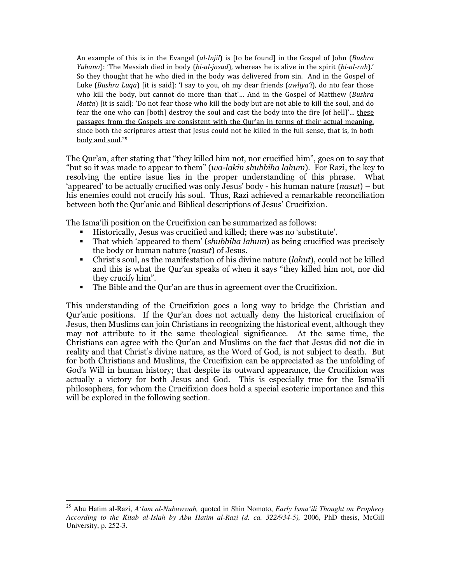An example of this is in the Evangel *(al-Injil)* is [to be found] in the Gospel of John *(Bushra*) Yuhana): 'The Messiah died in body (bi-al-jasad), whereas he is alive in the spirit (bi-al-ruh).' So they thought that he who died in the body was delivered from sin. And in the Gospel of Luke (Bushra Luqa) [it is said]: 'I say to you, oh my dear friends (awliya'i), do nto fear those who kill the body, but cannot do more than that'... And in the Gospel of Matthew (Bushra Matta) [it is said]: 'Do not fear those who kill the body but are not able to kill the soul, and do fear the one who can [both] destroy the soul and cast the body into the fire [of hell]'… these passages from the Gospels are consistent with the Qur'an in terms of their actual meaning, since both the scriptures attest that Jesus could not be killed in the full sense, that is, in both body and soul.<sup>25</sup>

The Qur'an, after stating that "they killed him not, nor crucified him", goes on to say that "but so it was made to appear to them" (wa-lakin shubbiha lahum). For Razi, the key to resolving the entire issue lies in the proper understanding of this phrase. What 'appeared' to be actually crucified was only Jesus' body - his human nature (nasut) – but his enemies could not crucify his soul. Thus, Razi achieved a remarkable reconciliation between both the Qur'anic and Biblical descriptions of Jesus' Crucifixion.

The Isma'ili position on the Crucifixion can be summarized as follows:

- Historically, Jesus was crucified and killed; there was no 'substitute'.
- That which 'appeared to them' (shubbiha lahum) as being crucified was precisely the body or human nature (nasut) of Jesus.
- Christ's soul, as the manifestation of his divine nature (*lahut*), could not be killed and this is what the Qur'an speaks of when it says "they killed him not, nor did they crucify him".
- The Bible and the Qur'an are thus in agreement over the Crucifixion.

This understanding of the Crucifixion goes a long way to bridge the Christian and Qur'anic positions. If the Qur'an does not actually deny the historical crucifixion of Jesus, then Muslims can join Christians in recognizing the historical event, although they may not attribute to it the same theological significance. At the same time, the Christians can agree with the Qur'an and Muslims on the fact that Jesus did not die in reality and that Christ's divine nature, as the Word of God, is not subject to death. But for both Christians and Muslims, the Crucifixion can be appreciated as the unfolding of God's Will in human history; that despite its outward appearance, the Crucifixion was actually a victory for both Jesus and God. This is especially true for the Isma'ili philosophers, for whom the Crucifixion does hold a special esoteric importance and this will be explored in the following section.

<sup>&</sup>lt;u>.</u> <sup>25</sup> Abu Hatim al-Razi, *A'lam al-Nubuwwah,* quoted in Shin Nomoto, *Early Isma'ili Thought on Prophecy According to the Kitab al-Islah by Abu Hatim al-Razi (d. ca. 322/934-5),* 2006, PhD thesis, McGill University, p. 252-3.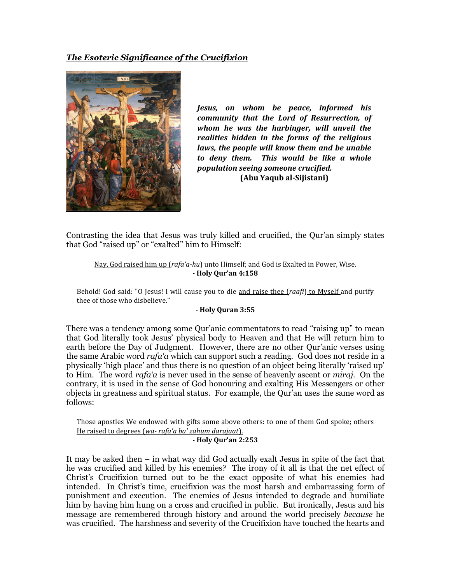## The Esoteric Significance of the Crucifixion



Jesus, on whom be peace, informed his community that the Lord of Resurrection, of whom he was the harbinger, will unveil the realities hidden in the forms of the religious laws, the people will know them and be unable to deny them. This would be like a whole population seeing someone crucified. (Abu Yaqub al-Sijistani)

Contrasting the idea that Jesus was truly killed and crucified, the Qur'an simply states that God "raised up" or "exalted" him to Himself:

Nay, God raised him up (rafa'a-hu) unto Himself; and God is Exalted in Power, Wise. - Holy Qur'an 4:158

Behold! God said: "O Jesus! I will cause you to die and raise thee (raafi) to Myself and purify thee of those who disbelieve."

#### - Holy Quran 3:55

There was a tendency among some Qur'anic commentators to read "raising up" to mean that God literally took Jesus' physical body to Heaven and that He will return him to earth before the Day of Judgment. However, there are no other Qur'anic verses using the same Arabic word *rafa'a* which can support such a reading. God does not reside in a physically 'high place' and thus there is no question of an object being literally 'raised up' to Him. The word rafa'a is never used in the sense of heavenly ascent or *miraj*. On the contrary, it is used in the sense of God honouring and exalting His Messengers or other objects in greatness and spiritual status. For example, the Qur'an uses the same word as follows:

Those apostles We endowed with gifts some above others: to one of them God spoke; others He raised to degrees (wa- rafa'a ba' zahum darajaat).

#### - Holy Qur'an 2:253

It may be asked then – in what way did God actually exalt Jesus in spite of the fact that he was crucified and killed by his enemies? The irony of it all is that the net effect of Christ's Crucifixion turned out to be the exact opposite of what his enemies had intended. In Christ's time, crucifixion was the most harsh and embarrassing form of punishment and execution. The enemies of Jesus intended to degrade and humiliate him by having him hung on a cross and crucified in public. But ironically, Jesus and his message are remembered through history and around the world precisely because he was crucified. The harshness and severity of the Crucifixion have touched the hearts and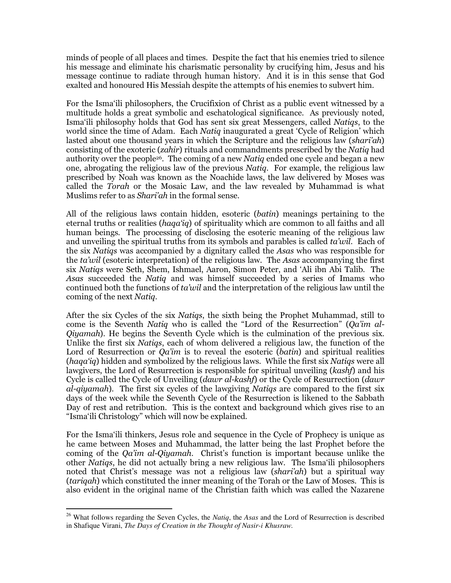minds of people of all places and times. Despite the fact that his enemies tried to silence his message and eliminate his charismatic personality by crucifying him, Jesus and his message continue to radiate through human history. And it is in this sense that God exalted and honoured His Messiah despite the attempts of his enemies to subvert him.

For the Isma'ili philosophers, the Crucifixion of Christ as a public event witnessed by a multitude holds a great symbolic and eschatological significance. As previously noted, Isma'ili philosophy holds that God has sent six great Messengers, called Natiqs, to the world since the time of Adam. Each *Natiq* inaugurated a great 'Cycle of Religion' which lasted about one thousand years in which the Scripture and the religious law (shari'ah) consisting of the exoteric (zahir) rituals and commandments prescribed by the Natiq had authority over the people<sup>26</sup>. The coming of a new *Natiq* ended one cycle and began a new one, abrogating the religious law of the previous Natiq. For example, the religious law prescribed by Noah was known as the Noachide laws, the law delivered by Moses was called the Torah or the Mosaic Law, and the law revealed by Muhammad is what Muslims refer to as *Shari'ah* in the formal sense.

All of the religious laws contain hidden, esoteric (batin) meanings pertaining to the eternal truths or realities (haga'ig) of spirituality which are common to all faiths and all human beings. The processing of disclosing the esoteric meaning of the religious law and unveiling the spiritual truths from its symbols and parables is called  $t^2$  and  $\ell$ . Each of the six Natiqs was accompanied by a dignitary called the Asas who was responsible for the ta'wil (esoteric interpretation) of the religious law. The Asas accompanying the first six Natiqs were Seth, Shem, Ishmael, Aaron, Simon Peter, and 'Ali ibn Abi Talib. The Asas succeeded the Natiq and was himself succeeded by a series of Imams who continued both the functions of  $ta'wil$  and the interpretation of the religious law until the coming of the next Natiq.

After the six Cycles of the six Natiqs, the sixth being the Prophet Muhammad, still to come is the Seventh *Natiq* who is called the "Lord of the Resurrection" (*Qa'im al-*Qiyamah). He begins the Seventh Cycle which is the culmination of the previous six. Unlike the first six Natiqs, each of whom delivered a religious law, the function of the Lord of Resurrection or *Qa'im* is to reveal the esoteric *(batin)* and spiritual realities (haga'ig) hidden and symbolized by the religious laws. While the first six Natigs were all lawgivers, the Lord of Resurrection is responsible for spiritual unveiling (*kashf*) and his Cycle is called the Cycle of Unveiling (*dawr al-kashf*) or the Cycle of Resurrection (*dawr* al-qiyamah). The first six cycles of the lawgiving Natiqs are compared to the first six days of the week while the Seventh Cycle of the Resurrection is likened to the Sabbath Day of rest and retribution. This is the context and background which gives rise to an "Isma'ili Christology" which will now be explained.

For the Isma'ili thinkers, Jesus role and sequence in the Cycle of Prophecy is unique as he came between Moses and Muhammad, the latter being the last Prophet before the coming of the Qa'im al-Qiyamah. Christ's function is important because unlike the other Natiqs, he did not actually bring a new religious law. The Isma'ili philosophers noted that Christ's message was not a religious law *(shari'ah)* but a spiritual way (tariqah) which constituted the inner meaning of the Torah or the Law of Moses. This is also evident in the original name of the Christian faith which was called the Nazarene

<sup>-</sup><sup>26</sup> What follows regarding the Seven Cycles, the *Natiq*, the *Asas* and the Lord of Resurrection is described in Shafique Virani, *The Days of Creation in the Thought of Nasir-i Khusraw.*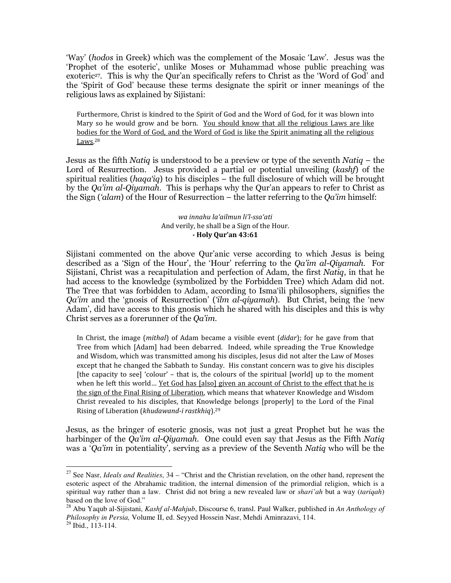'Way' (hodos in Greek) which was the complement of the Mosaic 'Law'. Jesus was the 'Prophet of the esoteric', unlike Moses or Muhammad whose public preaching was exoteric<sup>27</sup>. This is why the Our'an specifically refers to Christ as the 'Word of God' and the 'Spirit of God' because these terms designate the spirit or inner meanings of the religious laws as explained by Sijistani:

Furthermore, Christ is kindred to the Spirit of God and the Word of God, for it was blown into Mary so he would grow and be born. You should know that all the religious Laws are like bodies for the Word of God, and the Word of God is like the Spirit animating all the religious Laws.<sup>28</sup>

Jesus as the fifth Natiq is understood to be a preview or type of the seventh Natiq – the Lord of Resurrection. Jesus provided a partial or potential unveiling (kashf) of the spiritual realities ( $haqa'iq$ ) to his disciples – the full disclosure of which will be brought by the *Oa'im al-Qiyamah*. This is perhaps why the Qur'an appears to refer to Christ as the Sign ('alam) of the Hour of Resurrection – the latter referring to the  $Qa'm$  himself:

#### wa innahu la'ailmun li'l-ssa'ati And verily, he shall be a Sign of the Hour. - Holy Qur'an 43:61

Sijistani commented on the above Qur'anic verse according to which Jesus is being described as a 'Sign of the Hour', the 'Hour' referring to the Qa'im al-Qiyamah. For Sijistani, Christ was a recapitulation and perfection of Adam, the first *Natiq*, in that he had access to the knowledge (symbolized by the Forbidden Tree) which Adam did not. The Tree that was forbidden to Adam, according to Isma'ili philosophers, signifies the Qa'im and the 'gnosis of Resurrection' ('ilm al-qiyamah). But Christ, being the 'new Adam', did have access to this gnosis which he shared with his disciples and this is why Christ serves as a forerunner of the Qa'im.

In Christ, the image (mithal) of Adam became a visible event ( $didar$ ); for he gave from that Tree from which [Adam] had been debarred. Indeed, while spreading the True Knowledge and Wisdom, which was transmitted among his disciples, Jesus did not alter the Law of Moses except that he changed the Sabbath to Sunday. His constant concern was to give his disciples [the capacity to see] 'colour' – that is, the colours of the spiritual [world] up to the moment when he left this world... Yet God has [also] given an account of Christ to the effect that he is the sign of the Final Rising of Liberation, which means that whatever Knowledge and Wisdom Christ revealed to his disciples, that Knowledge belongs [properly] to the Lord of the Final Rising of Liberation (khudawand-i rastkhiq).<sup>29</sup>

Jesus, as the bringer of esoteric gnosis, was not just a great Prophet but he was the harbinger of the *Qa'im al-Qiyamah*. One could even say that Jesus as the Fifth Natia was a '*Qa'im* in potentiality', serving as a preview of the Seventh *Natiq* who will be the

<sup>27</sup> See Nasr, *Ideals and Realities*, 34 – "Christ and the Christian revelation, on the other hand, represent the esoteric aspect of the Abrahamic tradition, the internal dimension of the primordial religion, which is a spiritual way rather than a law. Christ did not bring a new revealed law or *shari'ah* but a way (*tariqah*) based on the love of God."

<sup>28</sup> Abu Yaqub al-Sijistani, *Kashf al-Mahjub*, Discourse 6, transl. Paul Walker, published in *An Anthology of Philosophy in Persia,* Volume II, ed. Seyyed Hossein Nasr, Mehdi Aminrazavi, 114.  $^{29}$  Ibid., 113-114.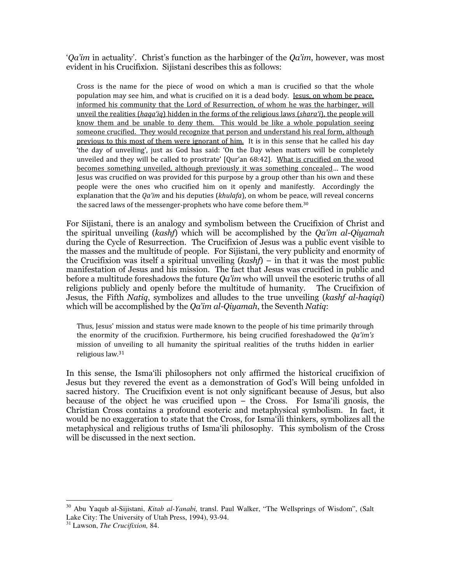' $Oa'$ im in actuality'. Christ's function as the harbinger of the  $Oa'$ im, however, was most evident in his Crucifixion. Sijistani describes this as follows:

Cross is the name for the piece of wood on which a man is crucified so that the whole population may see him, and what is crucified on it is a dead body. Jesus, on whom be peace, informed his community that the Lord of Resurrection, of whom he was the harbinger, will unveil the realities (haga'iq) hidden in the forms of the religious laws (shara'i), the people will know them and be unable to deny them. This would be like a whole population seeing someone crucified. They would recognize that person and understand his real form, although previous to this most of them were ignorant of him. It is in this sense that he called his day 'the day of unveiling', just as God has said: 'On the Day when matters will be completely unveiled and they will be called to prostrate' [Qur'an 68:42]. What is crucified on the wood becomes something unveiled, although previously it was something concealed… The wood Jesus was crucified on was provided for this purpose by a group other than his own and these people were the ones who crucified him on it openly and manifestly. Accordingly the explanation that the  $Qa'$ *im* and his deputies ( $khulafa$ ), on whom be peace, will reveal concerns the sacred laws of the messenger-prophets who have come before them.<sup>30</sup>

For Sijistani, there is an analogy and symbolism between the Crucifixion of Christ and the spiritual unveiling (*kashf*) which will be accomplished by the  $Qa'$ *im al-Qiyamah* during the Cycle of Resurrection. The Crucifixion of Jesus was a public event visible to the masses and the multitude of people. For Sijistani, the very publicity and enormity of the Crucifixion was itself a spiritual unveiling  $(kash)$  – in that it was the most public manifestation of Jesus and his mission. The fact that Jesus was crucified in public and before a multitude foreshadows the future *Qa'im* who will unveil the esoteric truths of all religions publicly and openly before the multitude of humanity. The Crucifixion of Jesus, the Fifth *Natiq*, symbolizes and alludes to the true unveiling *(kashf al-haqiqi)* which will be accomplished by the  $Qa'$ *im al-Qiyamah*, the Seventh Natiq:

Thus, Jesus' mission and status were made known to the people of his time primarily through the enormity of the crucifixion. Furthermore, his being crucified foreshadowed the  $Qa'im's$ mission of unveiling to all humanity the spiritual realities of the truths hidden in earlier religious law.<sup>31</sup>

In this sense, the Isma'ili philosophers not only affirmed the historical crucifixion of Jesus but they revered the event as a demonstration of God's Will being unfolded in sacred history. The Crucifixion event is not only significant because of Jesus, but also because of the object he was crucified upon – the Cross. For Isma'ili gnosis, the Christian Cross contains a profound esoteric and metaphysical symbolism. In fact, it would be no exaggeration to state that the Cross, for Isma'ili thinkers, symbolizes all the metaphysical and religious truths of Isma'ili philosophy. This symbolism of the Cross will be discussed in the next section.

<sup>&</sup>lt;u>.</u> <sup>30</sup> Abu Yaqub al-Sijistani, *Kitab al-Yanabi,* transl. Paul Walker, "The Wellsprings of Wisdom", (Salt Lake City: The University of Utah Press, 1994), 93-94.

<sup>31</sup> Lawson, *The Crucifixion,* 84.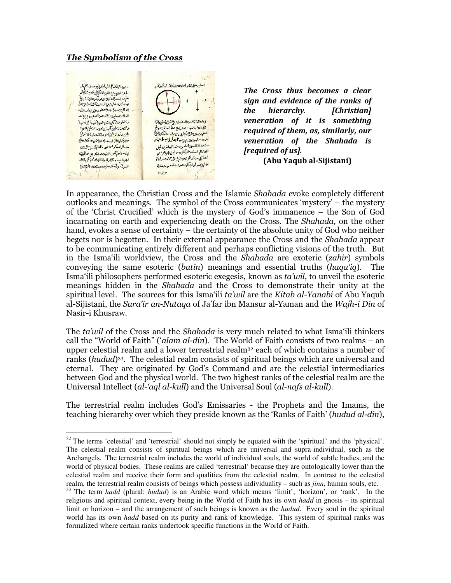### The Symbolism of the Cross

-



The Cross thus becomes a clear sign and evidence of the ranks of the hierarchy. [Christian] veneration of it is something required of them, as, similarly, our veneration of the Shahada is [required of us].

(Abu Yaqub al-Sijistani)

In appearance, the Christian Cross and the Islamic Shahada evoke completely different outlooks and meanings. The symbol of the Cross communicates 'mystery' – the mystery of the 'Christ Crucified' which is the mystery of God's immanence – the Son of God incarnating on earth and experiencing death on the Cross. The Shahada, on the other hand, evokes a sense of certainty – the certainty of the absolute unity of God who neither begets nor is begotten. In their external appearance the Cross and the *Shahada* appear to be communicating entirely different and perhaps conflicting visions of the truth. But in the Isma'ili worldview, the Cross and the *Shahada* are exoteric (*zahir*) symbols conveying the same esoteric (batin) meanings and essential truths (haqa'iq). The Isma'ili philosophers performed esoteric exegesis, known as ta'wil, to unveil the esoteric meanings hidden in the Shahada and the Cross to demonstrate their unity at the spiritual level. The sources for this Isma'ili ta'wil are the Kitab al-Yanabi of Abu Yaqub al-Sijistani, the Sara'ir an-Nutaqa of Ja'far ibn Mansur al-Yaman and the Wajh-i Din of Nasir-i Khusraw.

The *ta'wil* of the Cross and the *Shahada* is very much related to what Isma'ili thinkers call the "World of Faith" ('alam al-din). The World of Faith consists of two realms – an upper celestial realm and a lower terrestrial realm<sup>32</sup> each of which contains a number of ranks (hudud)<sup>33</sup>. The celestial realm consists of spiritual beings which are universal and eternal. They are originated by God's Command and are the celestial intermediaries between God and the physical world. The two highest ranks of the celestial realm are the Universal Intellect (al-'aql al-kull) and the Universal Soul (al-nafs al-kull).

The terrestrial realm includes God's Emissaries - the Prophets and the Imams, the teaching hierarchy over which they preside known as the 'Ranks of Faith' (*hudud al-din*),

<sup>&</sup>lt;sup>32</sup> The terms 'celestial' and 'terrestrial' should not simply be equated with the 'spiritual' and the 'physical'. The celestial realm consists of spiritual beings which are universal and supra-individual, such as the Archangels. The terrestrial realm includes the world of individual souls, the world of subtle bodies, and the world of physical bodies. These realms are called 'terrestrial' because they are ontologically lower than the celestial realm and receive their form and qualities from the celestial realm. In contrast to the celestial realm, the terrestrial realm consists of beings which possess individuality – such as *jinn*, human souls, etc.

<sup>33</sup> The term *hadd* (plural: *hudud*) is an Arabic word which means 'limit', 'horizon', or 'rank'. In the religious and spiritual context, every being in the World of Faith has its own *hadd* in gnosis – its spiritual limit or horizon – and the arrangement of such beings is known as the *hudud*. Every soul in the spiritual world has its own *hadd* based on its purity and rank of knowledge. This system of spiritual ranks was formalized where certain ranks undertook specific functions in the World of Faith.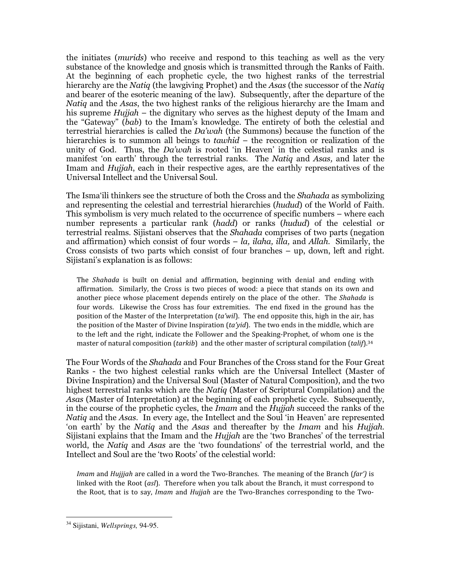the initiates (murids) who receive and respond to this teaching as well as the very substance of the knowledge and gnosis which is transmitted through the Ranks of Faith. At the beginning of each prophetic cycle, the two highest ranks of the terrestrial hierarchy are the Natiq (the lawgiving Prophet) and the Asas (the successor of the Natiq and bearer of the esoteric meaning of the law). Subsequently, after the departure of the Natiq and the Asas, the two highest ranks of the religious hierarchy are the Imam and his supreme *Hujjah* – the dignitary who serves as the highest deputy of the Imam and the "Gateway" (bab) to the Imam's knowledge. The entirety of both the celestial and terrestrial hierarchies is called the Da'wah (the Summons) because the function of the hierarchies is to summon all beings to *tawhid* – the recognition or realization of the unity of God. Thus, the  $Da'wah$  is rooted 'in Heaven' in the celestial ranks and is manifest 'on earth' through the terrestrial ranks. The Natiq and Asas, and later the Imam and *Hujjah*, each in their respective ages, are the earthly representatives of the Universal Intellect and the Universal Soul.

The Isma'ili thinkers see the structure of both the Cross and the *Shahada* as symbolizing and representing the celestial and terrestrial hierarchies (hudud) of the World of Faith. This symbolism is very much related to the occurrence of specific numbers – where each number represents a particular rank (hadd) or ranks (hudud) of the celestial or terrestrial realms. Sijistani observes that the *Shahada* comprises of two parts (negation and affirmation) which consist of four words  $- la$ , *ilaha*, *illa*, and *Allah*. Similarly, the Cross consists of two parts which consist of four branches – up, down, left and right. Sijistani's explanation is as follows:

The Shahada is built on denial and affirmation, beginning with denial and ending with affirmation. Similarly, the Cross is two pieces of wood: a piece that stands on its own and another piece whose placement depends entirely on the place of the other. The Shahada is four words. Likewise the Cross has four extremities. The end fixed in the ground has the position of the Master of the Interpretation (ta'wil). The end opposite this, high in the air, has the position of the Master of Divine Inspiration  $(ta$ '*yid*). The two ends in the middle, which are to the left and the right, indicate the Follower and the Speaking-Prophet, of whom one is the master of natural composition (tarkib) and the other master of scriptural compilation (talif).<sup>34</sup>

The Four Words of the Shahada and Four Branches of the Cross stand for the Four Great Ranks - the two highest celestial ranks which are the Universal Intellect (Master of Divine Inspiration) and the Universal Soul (Master of Natural Composition), and the two highest terrestrial ranks which are the *Natiq* (Master of Scriptural Compilation) and the Asas (Master of Interpretation) at the beginning of each prophetic cycle. Subsequently, in the course of the prophetic cycles, the *Imam* and the *Hujjah* succeed the ranks of the Natiq and the Asas. In every age, the Intellect and the Soul 'in Heaven' are represented 'on earth' by the Natiq and the Asas and thereafter by the Imam and his Hujjah. Sijistani explains that the Imam and the *Hujjah* are the 'two Branches' of the terrestrial world, the Natiq and Asas are the 'two foundations' of the terrestrial world, and the Intellect and Soul are the 'two Roots' of the celestial world:

*Imam* and *Hujjjah* are called in a word the Two-Branches. The meaning of the Branch ( $\text{far}$ ) is linked with the Root  $(as)$ . Therefore when you talk about the Branch, it must correspond to the Root, that is to say, Imam and Hujjah are the Two-Branches corresponding to the Two-

<sup>34</sup> Sijistani, *Wellsprings,* 94-95.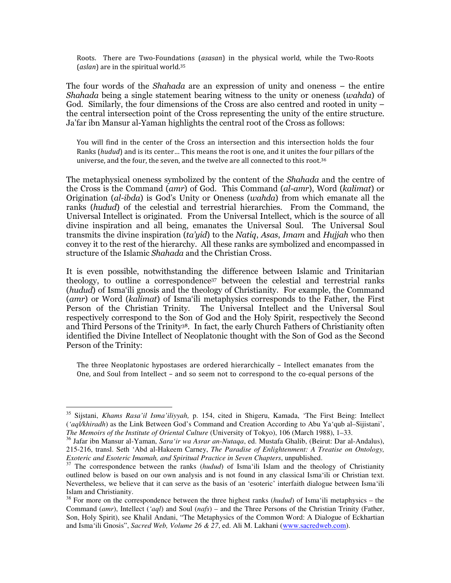Roots. There are Two-Foundations (asasan) in the physical world, while the Two-Roots (*aslan*) are in the spiritual world.<sup>35</sup>

The four words of the *Shahada* are an expression of unity and oneness – the entire Shahada being a single statement bearing witness to the unity or oneness (wahda) of God. Similarly, the four dimensions of the Cross are also centred and rooted in unity – the central intersection point of the Cross representing the unity of the entire structure. Ja'far ibn Mansur al-Yaman highlights the central root of the Cross as follows:

You will find in the center of the Cross an intersection and this intersection holds the four Ranks (hudud) and is its center… This means the root is one, and it unites the four pillars of the universe, and the four, the seven, and the twelve are all connected to this root.<sup>36</sup>

The metaphysical oneness symbolized by the content of the *Shahada* and the centre of the Cross is the Command (amr) of God. This Command (al-amr), Word (kalimat) or Origination (al-ibda) is God's Unity or Oneness (wahda) from which emanate all the ranks (hudud) of the celestial and terrestrial hierarchies. From the Command, the Universal Intellect is originated. From the Universal Intellect, which is the source of all divine inspiration and all being, emanates the Universal Soul. The Universal Soul transmits the divine inspiration  $(ta'yid)$  to the Natiq, Asas, Imam and Hujjah who then convey it to the rest of the hierarchy. All these ranks are symbolized and encompassed in structure of the Islamic Shahada and the Christian Cross.

It is even possible, notwithstanding the difference between Islamic and Trinitarian theology, to outline a correspondence<sup>37</sup> between the celestial and terrestrial ranks (hudud) of Isma'ili gnosis and the theology of Christianity. For example, the Command (amr) or Word (kalimat) of Isma'ili metaphysics corresponds to the Father, the First Person of the Christian Trinity. The Universal Intellect and the Universal Soul respectively correspond to the Son of God and the Holy Spirit, respectively the Second and Third Persons of the Trinity<sup>38</sup>. In fact, the early Church Fathers of Christianity often identified the Divine Intellect of Neoplatonic thought with the Son of God as the Second Person of the Trinity:

The three Neoplatonic hypostases are ordered hierarchically – Intellect emanates from the One, and Soul from Intellect – and so seem not to correspond to the co-equal persons of the

<sup>35</sup> Sijstani, *Khams Rasa'il Isma'iliyyah,* p. 154, cited in Shigeru, Kamada, 'The First Being: Intellect (*'aql/khiradh*) as the Link Between God's Command and Creation According to Abu Ya'qub al–Sijistani', *The Memoirs of the Institute of Oriental Culture* (University of Tokyo), 106 (March 1988), 1–33.

<sup>36</sup> Jafar ibn Mansur al-Yaman, *Sara'ir wa Asrar an-Nutaqa*, ed. Mustafa Ghalib, (Beirut: Dar al-Andalus), 215-216, transl. Seth 'Abd al-Hakeem Carney, *The Paradise of Enlightenment: A Treatise on Ontology, Exoteric and Esoteric Imamah, and Spiritual Practice in Seven Chapters*, unpublished.

<sup>&</sup>lt;sup>37</sup> The correspondence between the ranks (*hudud*) of Isma'ili Islam and the theology of Christianity outlined below is based on our own analysis and is not found in any classical Isma'ili or Christian text. Nevertheless, we believe that it can serve as the basis of an 'esoteric' interfaith dialogue between Isma'ili Islam and Christianity.

<sup>38</sup> For more on the correspondence between the three highest ranks (*hudud*) of Isma'ili metaphysics – the Command (*amr*), Intellect (*'aql*) and Soul (*nafs*) – and the Three Persons of the Christian Trinity (Father, Son, Holy Spirit), see Khalil Andani, "The Metaphysics of the Common Word: A Dialogue of Eckhartian and Isma'ili Gnosis", *Sacred Web, Volume 26 & 27*, ed. Ali M. Lakhani (www.sacredweb.com).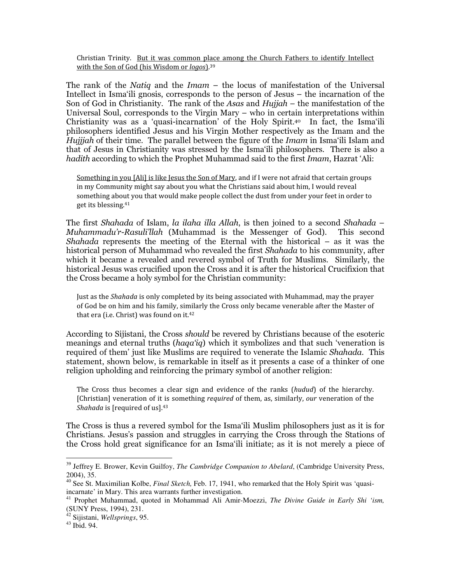Christian Trinity. But it was common place among the Church Fathers to identify Intellect with the Son of God (his Wisdom or logos).<sup>39</sup>

The rank of the Natiq and the  $Imam -$  the locus of manifestation of the Universal Intellect in Isma'ili gnosis, corresponds to the person of Jesus – the incarnation of the Son of God in Christianity. The rank of the Asas and Hujjah – the manifestation of the Universal Soul, corresponds to the Virgin Mary – who in certain interpretations within Christianity was as a 'quasi-incarnation' of the Holy Spirit. <sup>40</sup> In fact, the Isma'ili philosophers identified Jesus and his Virgin Mother respectively as the Imam and the Hujjjah of their time. The parallel between the figure of the *Imam* in Isma'ili Islam and that of Jesus in Christianity was stressed by the Isma'ili philosophers. There is also a hadith according to which the Prophet Muhammad said to the first Imam, Hazrat 'Ali:

Something in you [Ali] is like Jesus the Son of Mary, and if I were not afraid that certain groups in my Community might say about you what the Christians said about him, I would reveal something about you that would make people collect the dust from under your feet in order to get its blessing.<sup>41</sup>

The first Shahada of Islam, la ilaha illa Allah, is then joined to a second Shahada – Muhammadu'r-Rasuli'llah (Muhammad is the Messenger of God). This second Shahada represents the meeting of the Eternal with the historical  $-$  as it was the historical person of Muhammad who revealed the first Shahada to his community, after which it became a revealed and revered symbol of Truth for Muslims. Similarly, the historical Jesus was crucified upon the Cross and it is after the historical Crucifixion that the Cross became a holy symbol for the Christian community:

Just as the Shahada is only completed by its being associated with Muhammad, may the prayer of God be on him and his family, similarly the Cross only became venerable after the Master of that era (i.e. Christ) was found on it.<sup>42</sup>

According to Sijistani, the Cross should be revered by Christians because of the esoteric meanings and eternal truths (haqa'iq) which it symbolizes and that such 'veneration is required of them' just like Muslims are required to venerate the Islamic Shahada. This statement, shown below, is remarkable in itself as it presents a case of a thinker of one religion upholding and reinforcing the primary symbol of another religion:

The Cross thus becomes a clear sign and evidence of the ranks (hudud) of the hierarchy. [Christian] veneration of it is something required of them, as, similarly, our veneration of the Shahada is [required of us] 43

The Cross is thus a revered symbol for the Isma'ili Muslim philosophers just as it is for Christians. Jesus's passion and struggles in carrying the Cross through the Stations of the Cross hold great significance for an Isma'ili initiate; as it is not merely a piece of

<sup>&</sup>lt;sup>39</sup> Jeffrey E. Brower, Kevin Guilfoy, *The Cambridge Companion to Abelard*, (Cambridge University Press, 2004), 35.

<sup>40</sup> See St. Maximilian Kolbe, *Final Sketch,* Feb. 17, 1941, who remarked that the Holy Spirit was 'quasiincarnate' in Mary. This area warrants further investigation.

<sup>41</sup> Prophet Muhammad, quoted in Mohammad Ali Amir-Moezzi, *The Divine Guide in Early Shi 'ism,*  (SUNY Press, 1994), 231.

<sup>42</sup> Sijistani, *Wellsprings*, 95.

<sup>43</sup> Ibid. 94.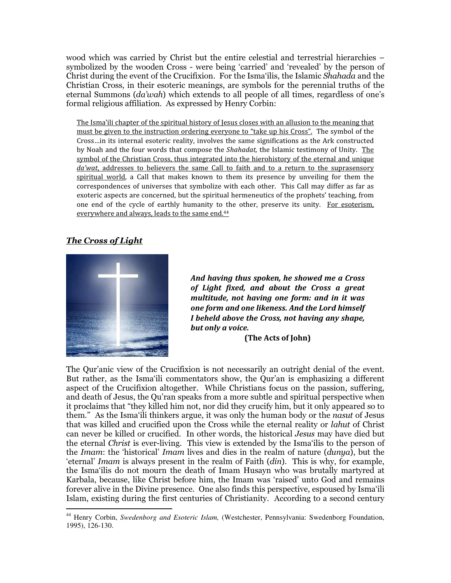wood which was carried by Christ but the entire celestial and terrestrial hierarchies – symbolized by the wooden Cross - were being 'carried' and 'revealed' by the person of Christ during the event of the Crucifixion. For the Isma'ilis, the Islamic Shahada and the Christian Cross, in their esoteric meanings, are symbols for the perennial truths of the eternal Summons (da'wah) which extends to all people of all times, regardless of one's formal religious affiliation. As expressed by Henry Corbin:

The Isma'ili chapter of the spiritual history of Jesus closes with an allusion to the meaning that must be given to the instruction ordering everyone to "take up his Cross". The symbol of the Cross…in its internal esoteric reality, involves the same significations as the Ark constructed by Noah and the four words that compose the Shahadat, the Islamic testimony of Unity. The symbol of the Christian Cross, thus integrated into the hierohistory of the eternal and unique da'wat, addresses to believers the same Call to faith and to a return to the suprasensory spiritual world, a Call that makes known to them its presence by unveiling for them the correspondences of universes that symbolize with each other. This Call may differ as far as exoteric aspects are concerned, but the spiritual hermeneutics of the prophets' teaching, from one end of the cycle of earthly humanity to the other, preserve its unity. For esoterism, everywhere and always, leads to the same end.<sup>44</sup>

## The Cross of Light

-



And having thus spoken, he showed me a Cross of Light fixed, and about the Cross a great multitude, not having one form: and in it was one form and one likeness. And the Lord himself I beheld above the Cross, not having any shape, but only a voice.

(The Acts of John)

The Qur'anic view of the Crucifixion is not necessarily an outright denial of the event. But rather, as the Isma'ili commentators show, the Qur'an is emphasizing a different aspect of the Crucifixion altogether. While Christians focus on the passion, suffering, and death of Jesus, the Qu'ran speaks from a more subtle and spiritual perspective when it proclaims that "they killed him not, nor did they crucify him, but it only appeared so to them." As the Isma'ili thinkers argue, it was only the human body or the *nasut* of Jesus that was killed and crucified upon the Cross while the eternal reality or lahut of Christ can never be killed or crucified. In other words, the historical Jesus may have died but the eternal Christ is ever-living. This view is extended by the Isma'ilis to the person of the Imam: the 'historical' Imam lives and dies in the realm of nature (dunya), but the 'eternal' Imam is always present in the realm of Faith (din). This is why, for example, the Isma'ilis do not mourn the death of Imam Husayn who was brutally martyred at Karbala, because, like Christ before him, the Imam was 'raised' unto God and remains forever alive in the Divine presence. One also finds this perspective, espoused by Isma'ili Islam, existing during the first centuries of Christianity. According to a second century

<sup>44</sup> Henry Corbin, *Swedenborg and Esoteric Islam,* (Westchester, Pennsylvania: Swedenborg Foundation, 1995), 126-130.